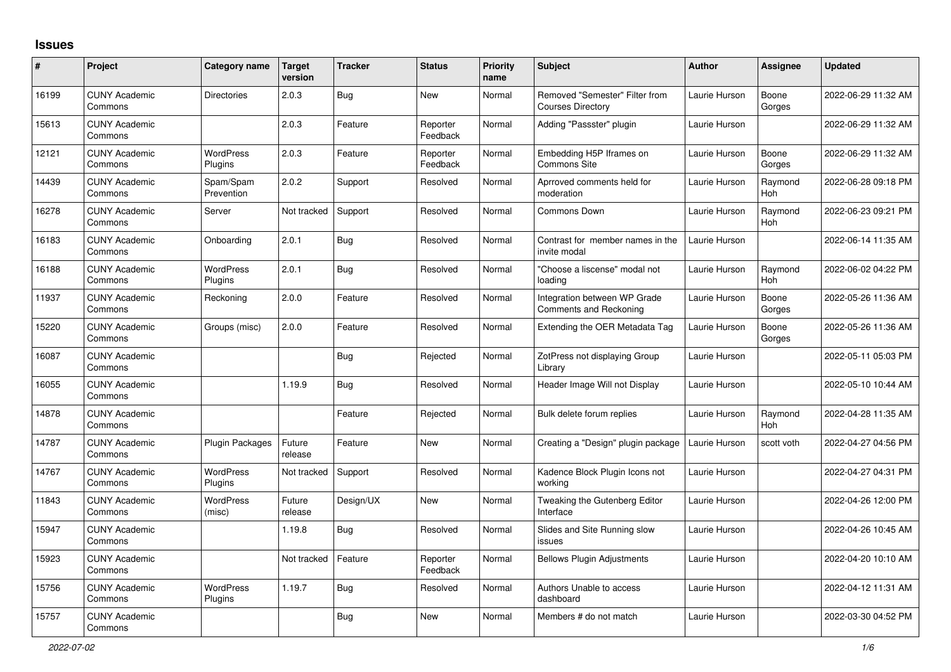## **Issues**

| #     | Project                         | Category name               | <b>Target</b><br>version | <b>Tracker</b> | <b>Status</b>        | Priority<br>name | <b>Subject</b>                                                | <b>Author</b> | <b>Assignee</b> | <b>Updated</b>      |
|-------|---------------------------------|-----------------------------|--------------------------|----------------|----------------------|------------------|---------------------------------------------------------------|---------------|-----------------|---------------------|
| 16199 | <b>CUNY Academic</b><br>Commons | <b>Directories</b>          | 2.0.3                    | <b>Bug</b>     | New                  | Normal           | Removed "Semester" Filter from<br><b>Courses Directory</b>    | Laurie Hurson | Boone<br>Gorges | 2022-06-29 11:32 AM |
| 15613 | <b>CUNY Academic</b><br>Commons |                             | 2.0.3                    | Feature        | Reporter<br>Feedback | Normal           | Adding "Passster" plugin                                      | Laurie Hurson |                 | 2022-06-29 11:32 AM |
| 12121 | <b>CUNY Academic</b><br>Commons | <b>WordPress</b><br>Plugins | 2.0.3                    | Feature        | Reporter<br>Feedback | Normal           | Embedding H5P Iframes on<br>Commons Site                      | Laurie Hurson | Boone<br>Gorges | 2022-06-29 11:32 AM |
| 14439 | <b>CUNY Academic</b><br>Commons | Spam/Spam<br>Prevention     | 2.0.2                    | Support        | Resolved             | Normal           | Aprroved comments held for<br>moderation                      | Laurie Hurson | Raymond<br>Hoh  | 2022-06-28 09:18 PM |
| 16278 | <b>CUNY Academic</b><br>Commons | Server                      | Not tracked              | Support        | Resolved             | Normal           | Commons Down                                                  | Laurie Hurson | Raymond<br>Hoh  | 2022-06-23 09:21 PM |
| 16183 | <b>CUNY Academic</b><br>Commons | Onboarding                  | 2.0.1                    | Bug            | Resolved             | Normal           | Contrast for member names in the<br>invite modal              | Laurie Hurson |                 | 2022-06-14 11:35 AM |
| 16188 | <b>CUNY Academic</b><br>Commons | <b>WordPress</b><br>Plugins | 2.0.1                    | Bug            | Resolved             | Normal           | "Choose a liscense" modal not<br>loading                      | Laurie Hurson | Raymond<br>Hoh  | 2022-06-02 04:22 PM |
| 11937 | <b>CUNY Academic</b><br>Commons | Reckoning                   | 2.0.0                    | Feature        | Resolved             | Normal           | Integration between WP Grade<br><b>Comments and Reckoning</b> | Laurie Hurson | Boone<br>Gorges | 2022-05-26 11:36 AM |
| 15220 | <b>CUNY Academic</b><br>Commons | Groups (misc)               | 2.0.0                    | Feature        | Resolved             | Normal           | Extending the OER Metadata Tag                                | Laurie Hurson | Boone<br>Gorges | 2022-05-26 11:36 AM |
| 16087 | <b>CUNY Academic</b><br>Commons |                             |                          | <b>Bug</b>     | Rejected             | Normal           | ZotPress not displaying Group<br>Library                      | Laurie Hurson |                 | 2022-05-11 05:03 PM |
| 16055 | <b>CUNY Academic</b><br>Commons |                             | 1.19.9                   | Bug            | Resolved             | Normal           | Header Image Will not Display                                 | Laurie Hurson |                 | 2022-05-10 10:44 AM |
| 14878 | <b>CUNY Academic</b><br>Commons |                             |                          | Feature        | Rejected             | Normal           | Bulk delete forum replies                                     | Laurie Hurson | Raymond<br>Hoh  | 2022-04-28 11:35 AM |
| 14787 | <b>CUNY Academic</b><br>Commons | <b>Plugin Packages</b>      | Future<br>release        | Feature        | New                  | Normal           | Creating a "Design" plugin package                            | Laurie Hurson | scott voth      | 2022-04-27 04:56 PM |
| 14767 | <b>CUNY Academic</b><br>Commons | <b>WordPress</b><br>Plugins | Not tracked              | Support        | Resolved             | Normal           | Kadence Block Plugin Icons not<br>workina                     | Laurie Hurson |                 | 2022-04-27 04:31 PM |
| 11843 | <b>CUNY Academic</b><br>Commons | <b>WordPress</b><br>(misc)  | Future<br>release        | Design/UX      | New                  | Normal           | Tweaking the Gutenberg Editor<br>Interface                    | Laurie Hurson |                 | 2022-04-26 12:00 PM |
| 15947 | <b>CUNY Academic</b><br>Commons |                             | 1.19.8                   | <b>Bug</b>     | Resolved             | Normal           | Slides and Site Running slow<br>issues                        | Laurie Hurson |                 | 2022-04-26 10:45 AM |
| 15923 | <b>CUNY Academic</b><br>Commons |                             | Not tracked              | Feature        | Reporter<br>Feedback | Normal           | <b>Bellows Plugin Adjustments</b>                             | Laurie Hurson |                 | 2022-04-20 10:10 AM |
| 15756 | <b>CUNY Academic</b><br>Commons | <b>WordPress</b><br>Plugins | 1.19.7                   | <b>Bug</b>     | Resolved             | Normal           | Authors Unable to access<br>dashboard                         | Laurie Hurson |                 | 2022-04-12 11:31 AM |
| 15757 | <b>CUNY Academic</b><br>Commons |                             |                          | Bug            | <b>New</b>           | Normal           | Members # do not match                                        | Laurie Hurson |                 | 2022-03-30 04:52 PM |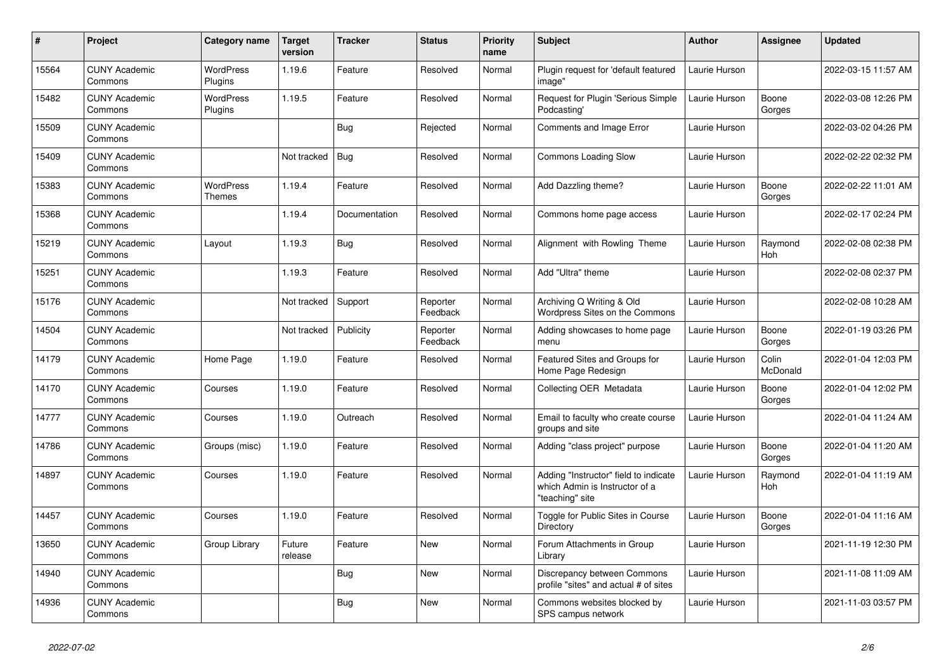| $\#$  | Project                         | Category name                     | <b>Target</b><br>version | <b>Tracker</b> | <b>Status</b>        | <b>Priority</b><br>name | <b>Subject</b>                                                                             | <b>Author</b> | <b>Assignee</b>   | Updated             |
|-------|---------------------------------|-----------------------------------|--------------------------|----------------|----------------------|-------------------------|--------------------------------------------------------------------------------------------|---------------|-------------------|---------------------|
| 15564 | <b>CUNY Academic</b><br>Commons | <b>WordPress</b><br>Plugins       | 1.19.6                   | Feature        | Resolved             | Normal                  | Plugin request for 'default featured<br>image"                                             | Laurie Hurson |                   | 2022-03-15 11:57 AM |
| 15482 | <b>CUNY Academic</b><br>Commons | <b>WordPress</b><br>Plugins       | 1.19.5                   | Feature        | Resolved             | Normal                  | Request for Plugin 'Serious Simple<br>Podcasting'                                          | Laurie Hurson | Boone<br>Gorges   | 2022-03-08 12:26 PM |
| 15509 | <b>CUNY Academic</b><br>Commons |                                   |                          | Bug            | Rejected             | Normal                  | Comments and Image Error                                                                   | Laurie Hurson |                   | 2022-03-02 04:26 PM |
| 15409 | <b>CUNY Academic</b><br>Commons |                                   | Not tracked              | <b>Bug</b>     | Resolved             | Normal                  | Commons Loading Slow                                                                       | Laurie Hurson |                   | 2022-02-22 02:32 PM |
| 15383 | <b>CUNY Academic</b><br>Commons | <b>WordPress</b><br><b>Themes</b> | 1.19.4                   | Feature        | Resolved             | Normal                  | Add Dazzling theme?                                                                        | Laurie Hurson | Boone<br>Gorges   | 2022-02-22 11:01 AM |
| 15368 | <b>CUNY Academic</b><br>Commons |                                   | 1.19.4                   | Documentation  | Resolved             | Normal                  | Commons home page access                                                                   | Laurie Hurson |                   | 2022-02-17 02:24 PM |
| 15219 | <b>CUNY Academic</b><br>Commons | Layout                            | 1.19.3                   | <b>Bug</b>     | Resolved             | Normal                  | Alignment with Rowling Theme                                                               | Laurie Hurson | Raymond<br>Hoh    | 2022-02-08 02:38 PM |
| 15251 | <b>CUNY Academic</b><br>Commons |                                   | 1.19.3                   | Feature        | Resolved             | Normal                  | Add "Ultra" theme                                                                          | Laurie Hurson |                   | 2022-02-08 02:37 PM |
| 15176 | <b>CUNY Academic</b><br>Commons |                                   | Not tracked              | Support        | Reporter<br>Feedback | Normal                  | Archiving Q Writing & Old<br>Wordpress Sites on the Commons                                | Laurie Hurson |                   | 2022-02-08 10:28 AM |
| 14504 | <b>CUNY Academic</b><br>Commons |                                   | Not tracked              | Publicity      | Reporter<br>Feedback | Normal                  | Adding showcases to home page<br>menu                                                      | Laurie Hurson | Boone<br>Gorges   | 2022-01-19 03:26 PM |
| 14179 | <b>CUNY Academic</b><br>Commons | Home Page                         | 1.19.0                   | Feature        | Resolved             | Normal                  | Featured Sites and Groups for<br>Home Page Redesign                                        | Laurie Hurson | Colin<br>McDonald | 2022-01-04 12:03 PM |
| 14170 | <b>CUNY Academic</b><br>Commons | Courses                           | 1.19.0                   | Feature        | Resolved             | Normal                  | Collecting OER Metadata                                                                    | Laurie Hurson | Boone<br>Gorges   | 2022-01-04 12:02 PM |
| 14777 | <b>CUNY Academic</b><br>Commons | Courses                           | 1.19.0                   | Outreach       | Resolved             | Normal                  | Email to faculty who create course<br>groups and site                                      | Laurie Hurson |                   | 2022-01-04 11:24 AM |
| 14786 | <b>CUNY Academic</b><br>Commons | Groups (misc)                     | 1.19.0                   | Feature        | Resolved             | Normal                  | Adding "class project" purpose                                                             | Laurie Hurson | Boone<br>Gorges   | 2022-01-04 11:20 AM |
| 14897 | <b>CUNY Academic</b><br>Commons | Courses                           | 1.19.0                   | Feature        | Resolved             | Normal                  | Adding "Instructor" field to indicate<br>which Admin is Instructor of a<br>"teaching" site | Laurie Hurson | Raymond<br>Hoh    | 2022-01-04 11:19 AM |
| 14457 | <b>CUNY Academic</b><br>Commons | Courses                           | 1.19.0                   | Feature        | Resolved             | Normal                  | Toggle for Public Sites in Course<br>Directory                                             | Laurie Hurson | Boone<br>Gorges   | 2022-01-04 11:16 AM |
| 13650 | <b>CUNY Academic</b><br>Commons | Group Library                     | Future<br>release        | Feature        | <b>New</b>           | Normal                  | Forum Attachments in Group<br>Librarv                                                      | Laurie Hurson |                   | 2021-11-19 12:30 PM |
| 14940 | <b>CUNY Academic</b><br>Commons |                                   |                          | Bug            | <b>New</b>           | Normal                  | Discrepancy between Commons<br>profile "sites" and actual # of sites                       | Laurie Hurson |                   | 2021-11-08 11:09 AM |
| 14936 | <b>CUNY Academic</b><br>Commons |                                   |                          | <b>Bug</b>     | <b>New</b>           | Normal                  | Commons websites blocked by<br>SPS campus network                                          | Laurie Hurson |                   | 2021-11-03 03:57 PM |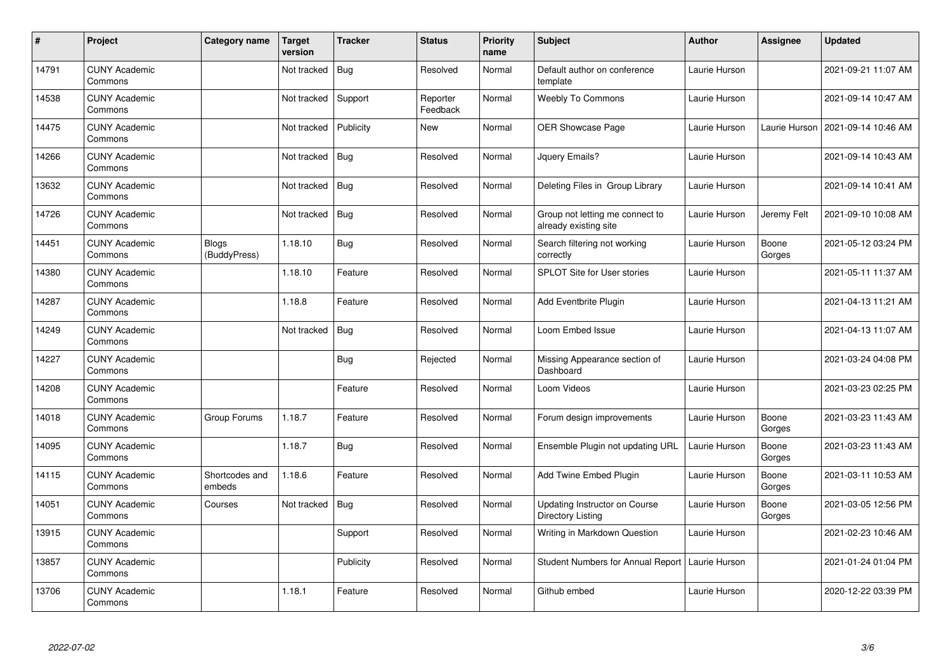| $\sharp$ | Project                         | Category name            | <b>Target</b><br>version | <b>Tracker</b> | <b>Status</b>        | <b>Priority</b><br>name | <b>Subject</b>                                            | <b>Author</b> | <b>Assignee</b> | <b>Updated</b>      |
|----------|---------------------------------|--------------------------|--------------------------|----------------|----------------------|-------------------------|-----------------------------------------------------------|---------------|-----------------|---------------------|
| 14791    | <b>CUNY Academic</b><br>Commons |                          | Not tracked              | <b>Bug</b>     | Resolved             | Normal                  | Default author on conference<br>template                  | Laurie Hurson |                 | 2021-09-21 11:07 AM |
| 14538    | <b>CUNY Academic</b><br>Commons |                          | Not tracked              | Support        | Reporter<br>Feedback | Normal                  | <b>Weebly To Commons</b>                                  | Laurie Hurson |                 | 2021-09-14 10:47 AM |
| 14475    | <b>CUNY Academic</b><br>Commons |                          | Not tracked              | Publicity      | New                  | Normal                  | OER Showcase Page                                         | Laurie Hurson | Laurie Hurson   | 2021-09-14 10:46 AM |
| 14266    | <b>CUNY Academic</b><br>Commons |                          | Not tracked              | <b>Bug</b>     | Resolved             | Normal                  | Jquery Emails?                                            | Laurie Hurson |                 | 2021-09-14 10:43 AM |
| 13632    | <b>CUNY Academic</b><br>Commons |                          | Not tracked              | <b>Bug</b>     | Resolved             | Normal                  | Deleting Files in Group Library                           | Laurie Hurson |                 | 2021-09-14 10:41 AM |
| 14726    | <b>CUNY Academic</b><br>Commons |                          | Not tracked              | <b>Bug</b>     | Resolved             | Normal                  | Group not letting me connect to<br>already existing site  | Laurie Hurson | Jeremy Felt     | 2021-09-10 10:08 AM |
| 14451    | <b>CUNY Academic</b><br>Commons | Blogs<br>(BuddyPress)    | 1.18.10                  | <b>Bug</b>     | Resolved             | Normal                  | Search filtering not working<br>correctly                 | Laurie Hurson | Boone<br>Gorges | 2021-05-12 03:24 PM |
| 14380    | <b>CUNY Academic</b><br>Commons |                          | 1.18.10                  | Feature        | Resolved             | Normal                  | <b>SPLOT Site for User stories</b>                        | Laurie Hurson |                 | 2021-05-11 11:37 AM |
| 14287    | <b>CUNY Academic</b><br>Commons |                          | 1.18.8                   | Feature        | Resolved             | Normal                  | <b>Add Eventbrite Plugin</b>                              | Laurie Hurson |                 | 2021-04-13 11:21 AM |
| 14249    | <b>CUNY Academic</b><br>Commons |                          | Not tracked              | <b>Bug</b>     | Resolved             | Normal                  | Loom Embed Issue                                          | Laurie Hurson |                 | 2021-04-13 11:07 AM |
| 14227    | <b>CUNY Academic</b><br>Commons |                          |                          | <b>Bug</b>     | Rejected             | Normal                  | Missing Appearance section of<br>Dashboard                | Laurie Hurson |                 | 2021-03-24 04:08 PM |
| 14208    | <b>CUNY Academic</b><br>Commons |                          |                          | Feature        | Resolved             | Normal                  | Loom Videos                                               | Laurie Hurson |                 | 2021-03-23 02:25 PM |
| 14018    | <b>CUNY Academic</b><br>Commons | Group Forums             | 1.18.7                   | Feature        | Resolved             | Normal                  | Forum design improvements                                 | Laurie Hurson | Boone<br>Gorges | 2021-03-23 11:43 AM |
| 14095    | <b>CUNY Academic</b><br>Commons |                          | 1.18.7                   | <b>Bug</b>     | Resolved             | Normal                  | Ensemble Plugin not updating URL                          | Laurie Hurson | Boone<br>Gorges | 2021-03-23 11:43 AM |
| 14115    | <b>CUNY Academic</b><br>Commons | Shortcodes and<br>embeds | 1.18.6                   | Feature        | Resolved             | Normal                  | Add Twine Embed Plugin                                    | Laurie Hurson | Boone<br>Gorges | 2021-03-11 10:53 AM |
| 14051    | <b>CUNY Academic</b><br>Commons | Courses                  | Not tracked              | Bug            | Resolved             | Normal                  | Updating Instructor on Course<br><b>Directory Listing</b> | Laurie Hurson | Boone<br>Gorges | 2021-03-05 12:56 PM |
| 13915    | <b>CUNY Academic</b><br>Commons |                          |                          | Support        | Resolved             | Normal                  | Writing in Markdown Question                              | Laurie Hurson |                 | 2021-02-23 10:46 AM |
| 13857    | <b>CUNY Academic</b><br>Commons |                          |                          | Publicity      | Resolved             | Normal                  | <b>Student Numbers for Annual Report</b>                  | Laurie Hurson |                 | 2021-01-24 01:04 PM |
| 13706    | <b>CUNY Academic</b><br>Commons |                          | 1.18.1                   | Feature        | Resolved             | Normal                  | Github embed                                              | Laurie Hurson |                 | 2020-12-22 03:39 PM |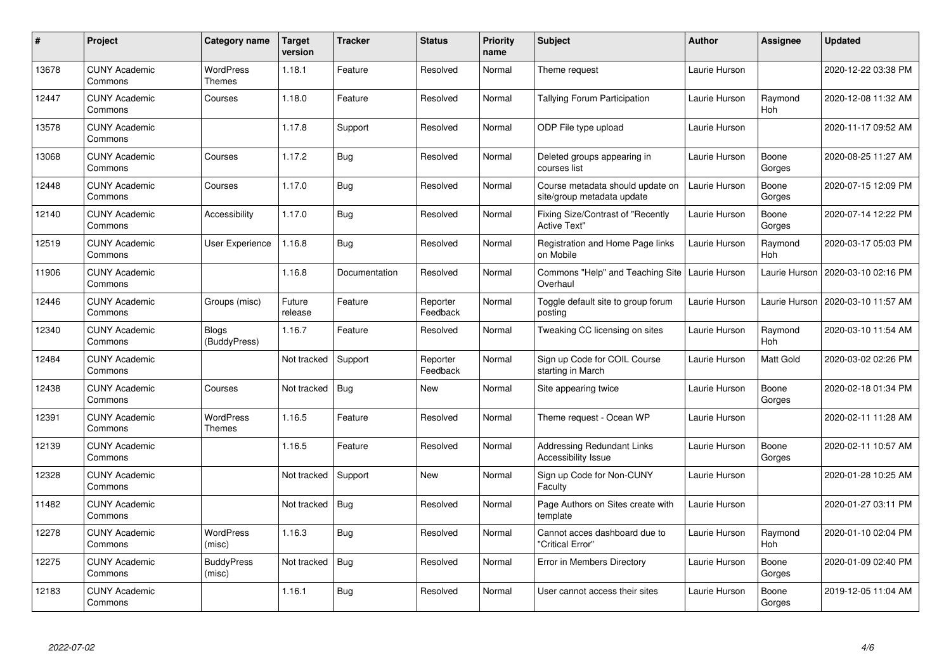| #     | <b>Project</b>                  | Category name                     | <b>Target</b><br>version | <b>Tracker</b> | <b>Status</b>        | <b>Priority</b><br>name | <b>Subject</b>                                                  | <b>Author</b> | <b>Assignee</b>       | <b>Updated</b>      |
|-------|---------------------------------|-----------------------------------|--------------------------|----------------|----------------------|-------------------------|-----------------------------------------------------------------|---------------|-----------------------|---------------------|
| 13678 | <b>CUNY Academic</b><br>Commons | <b>WordPress</b><br>Themes        | 1.18.1                   | Feature        | Resolved             | Normal                  | Theme request                                                   | Laurie Hurson |                       | 2020-12-22 03:38 PM |
| 12447 | <b>CUNY Academic</b><br>Commons | Courses                           | 1.18.0                   | Feature        | Resolved             | Normal                  | Tallying Forum Participation                                    | Laurie Hurson | Raymond<br><b>Hoh</b> | 2020-12-08 11:32 AM |
| 13578 | <b>CUNY Academic</b><br>Commons |                                   | 1.17.8                   | Support        | Resolved             | Normal                  | ODP File type upload                                            | Laurie Hurson |                       | 2020-11-17 09:52 AM |
| 13068 | <b>CUNY Academic</b><br>Commons | Courses                           | 1.17.2                   | <b>Bug</b>     | Resolved             | Normal                  | Deleted groups appearing in<br>courses list                     | Laurie Hurson | Boone<br>Gorges       | 2020-08-25 11:27 AM |
| 12448 | <b>CUNY Academic</b><br>Commons | Courses                           | 1.17.0                   | Bug            | Resolved             | Normal                  | Course metadata should update on<br>site/group metadata update  | Laurie Hurson | Boone<br>Gorges       | 2020-07-15 12:09 PM |
| 12140 | <b>CUNY Academic</b><br>Commons | Accessibility                     | 1.17.0                   | Bug            | Resolved             | Normal                  | Fixing Size/Contrast of "Recently<br><b>Active Text"</b>        | Laurie Hurson | Boone<br>Gorges       | 2020-07-14 12:22 PM |
| 12519 | <b>CUNY Academic</b><br>Commons | <b>User Experience</b>            | 1.16.8                   | <b>Bug</b>     | Resolved             | Normal                  | Registration and Home Page links<br>on Mobile                   | Laurie Hurson | Raymond<br><b>Hoh</b> | 2020-03-17 05:03 PM |
| 11906 | <b>CUNY Academic</b><br>Commons |                                   | 1.16.8                   | Documentation  | Resolved             | Normal                  | Commons "Help" and Teaching Site<br>Overhaul                    | Laurie Hurson | Laurie Hurson         | 2020-03-10 02:16 PM |
| 12446 | <b>CUNY Academic</b><br>Commons | Groups (misc)                     | Future<br>release        | Feature        | Reporter<br>Feedback | Normal                  | Toggle default site to group forum<br>posting                   | Laurie Hurson | Laurie Hurson         | 2020-03-10 11:57 AM |
| 12340 | <b>CUNY Academic</b><br>Commons | <b>Blogs</b><br>(BuddyPress)      | 1.16.7                   | Feature        | Resolved             | Normal                  | Tweaking CC licensing on sites                                  | Laurie Hurson | Raymond<br>Hoh        | 2020-03-10 11:54 AM |
| 12484 | <b>CUNY Academic</b><br>Commons |                                   | Not tracked              | Support        | Reporter<br>Feedback | Normal                  | Sign up Code for COIL Course<br>starting in March               | Laurie Hurson | Matt Gold             | 2020-03-02 02:26 PM |
| 12438 | <b>CUNY Academic</b><br>Commons | Courses                           | Not tracked              | Bug            | New                  | Normal                  | Site appearing twice                                            | Laurie Hurson | Boone<br>Gorges       | 2020-02-18 01:34 PM |
| 12391 | <b>CUNY Academic</b><br>Commons | <b>WordPress</b><br><b>Themes</b> | 1.16.5                   | Feature        | Resolved             | Normal                  | Theme request - Ocean WP                                        | Laurie Hurson |                       | 2020-02-11 11:28 AM |
| 12139 | <b>CUNY Academic</b><br>Commons |                                   | 1.16.5                   | Feature        | Resolved             | Normal                  | <b>Addressing Redundant Links</b><br><b>Accessibility Issue</b> | Laurie Hurson | Boone<br>Gorges       | 2020-02-11 10:57 AM |
| 12328 | <b>CUNY Academic</b><br>Commons |                                   | Not tracked              | Support        | New                  | Normal                  | Sign up Code for Non-CUNY<br>Faculty                            | Laurie Hurson |                       | 2020-01-28 10:25 AM |
| 11482 | <b>CUNY Academic</b><br>Commons |                                   | Not tracked              | Bug            | Resolved             | Normal                  | Page Authors on Sites create with<br>template                   | Laurie Hurson |                       | 2020-01-27 03:11 PM |
| 12278 | <b>CUNY Academic</b><br>Commons | <b>WordPress</b><br>(misc)        | 1.16.3                   | Bug            | Resolved             | Normal                  | Cannot acces dashboard due to<br>"Critical Error"               | Laurie Hurson | Raymond<br>Hoh        | 2020-01-10 02:04 PM |
| 12275 | <b>CUNY Academic</b><br>Commons | <b>BuddyPress</b><br>(misc)       | Not tracked              | Bug            | Resolved             | Normal                  | Error in Members Directory                                      | Laurie Hurson | Boone<br>Gorges       | 2020-01-09 02:40 PM |
| 12183 | <b>CUNY Academic</b><br>Commons |                                   | 1.16.1                   | <b>Bug</b>     | Resolved             | Normal                  | User cannot access their sites                                  | Laurie Hurson | Boone<br>Gorges       | 2019-12-05 11:04 AM |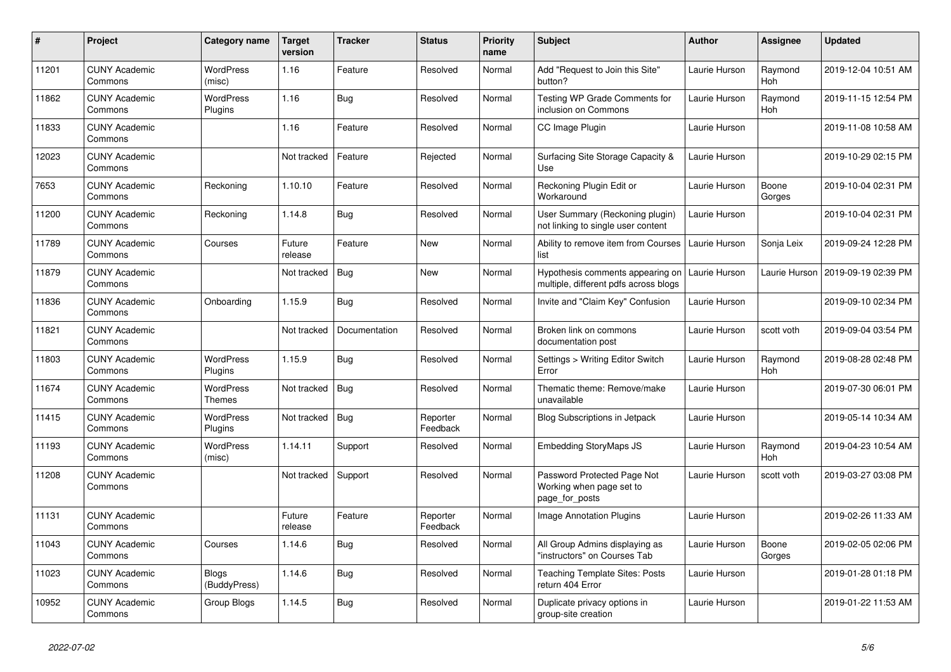| $\pmb{\sharp}$ | Project                         | Category name                | <b>Target</b><br>version | <b>Tracker</b> | <b>Status</b>        | <b>Priority</b><br>name | <b>Subject</b>                                                            | <b>Author</b> | <b>Assignee</b>       | <b>Updated</b>      |
|----------------|---------------------------------|------------------------------|--------------------------|----------------|----------------------|-------------------------|---------------------------------------------------------------------------|---------------|-----------------------|---------------------|
| 11201          | <b>CUNY Academic</b><br>Commons | <b>WordPress</b><br>(misc)   | 1.16                     | Feature        | Resolved             | Normal                  | Add "Request to Join this Site"<br>button?                                | Laurie Hurson | Raymond<br>Hoh        | 2019-12-04 10:51 AM |
| 11862          | <b>CUNY Academic</b><br>Commons | <b>WordPress</b><br>Plugins  | 1.16                     | Bug            | Resolved             | Normal                  | Testing WP Grade Comments for<br>inclusion on Commons                     | Laurie Hurson | Raymond<br>Hoh        | 2019-11-15 12:54 PM |
| 11833          | <b>CUNY Academic</b><br>Commons |                              | 1.16                     | Feature        | Resolved             | Normal                  | CC Image Plugin                                                           | Laurie Hurson |                       | 2019-11-08 10:58 AM |
| 12023          | <b>CUNY Academic</b><br>Commons |                              | Not tracked              | Feature        | Rejected             | Normal                  | Surfacing Site Storage Capacity &<br>Use                                  | Laurie Hurson |                       | 2019-10-29 02:15 PM |
| 7653           | <b>CUNY Academic</b><br>Commons | Reckoning                    | 1.10.10                  | Feature        | Resolved             | Normal                  | Reckoning Plugin Edit or<br>Workaround                                    | Laurie Hurson | Boone<br>Gorges       | 2019-10-04 02:31 PM |
| 11200          | <b>CUNY Academic</b><br>Commons | Reckoning                    | 1.14.8                   | Bug            | Resolved             | Normal                  | User Summary (Reckoning plugin)<br>not linking to single user content     | Laurie Hurson |                       | 2019-10-04 02:31 PM |
| 11789          | <b>CUNY Academic</b><br>Commons | Courses                      | Future<br>release        | Feature        | <b>New</b>           | Normal                  | Ability to remove item from Courses<br>list                               | Laurie Hurson | Sonja Leix            | 2019-09-24 12:28 PM |
| 11879          | <b>CUNY Academic</b><br>Commons |                              | Not tracked              | <b>Bug</b>     | <b>New</b>           | Normal                  | Hypothesis comments appearing on<br>multiple, different pdfs across blogs | Laurie Hurson | Laurie Hurson         | 2019-09-19 02:39 PM |
| 11836          | <b>CUNY Academic</b><br>Commons | Onboarding                   | 1.15.9                   | Bug            | Resolved             | Normal                  | Invite and "Claim Key" Confusion                                          | Laurie Hurson |                       | 2019-09-10 02:34 PM |
| 11821          | <b>CUNY Academic</b><br>Commons |                              | Not tracked              | Documentation  | Resolved             | Normal                  | Broken link on commons<br>documentation post                              | Laurie Hurson | scott voth            | 2019-09-04 03:54 PM |
| 11803          | <b>CUNY Academic</b><br>Commons | <b>WordPress</b><br>Plugins  | 1.15.9                   | Bug            | Resolved             | Normal                  | Settings > Writing Editor Switch<br>Error                                 | Laurie Hurson | Raymond<br>Hoh        | 2019-08-28 02:48 PM |
| 11674          | <b>CUNY Academic</b><br>Commons | WordPress<br>Themes          | Not tracked              | Bug            | Resolved             | Normal                  | Thematic theme: Remove/make<br>unavailable                                | Laurie Hurson |                       | 2019-07-30 06:01 PM |
| 11415          | <b>CUNY Academic</b><br>Commons | WordPress<br>Plugins         | Not tracked              | Bug            | Reporter<br>Feedback | Normal                  | Blog Subscriptions in Jetpack                                             | Laurie Hurson |                       | 2019-05-14 10:34 AM |
| 11193          | <b>CUNY Academic</b><br>Commons | WordPress<br>(misc)          | 1.14.11                  | Support        | Resolved             | Normal                  | <b>Embedding StoryMaps JS</b>                                             | Laurie Hurson | Raymond<br><b>Hoh</b> | 2019-04-23 10:54 AM |
| 11208          | <b>CUNY Academic</b><br>Commons |                              | Not tracked              | Support        | Resolved             | Normal                  | Password Protected Page Not<br>Working when page set to<br>page_for_posts | Laurie Hurson | scott voth            | 2019-03-27 03:08 PM |
| 11131          | <b>CUNY Academic</b><br>Commons |                              | Future<br>release        | Feature        | Reporter<br>Feedback | Normal                  | Image Annotation Plugins                                                  | Laurie Hurson |                       | 2019-02-26 11:33 AM |
| 11043          | <b>CUNY Academic</b><br>Commons | Courses                      | 1.14.6                   | Bug            | Resolved             | Normal                  | All Group Admins displaying as<br>"instructors" on Courses Tab            | Laurie Hurson | Boone<br>Gorges       | 2019-02-05 02:06 PM |
| 11023          | <b>CUNY Academic</b><br>Commons | <b>Blogs</b><br>(BuddyPress) | 1.14.6                   | <b>Bug</b>     | Resolved             | Normal                  | <b>Teaching Template Sites: Posts</b><br>return 404 Error                 | Laurie Hurson |                       | 2019-01-28 01:18 PM |
| 10952          | <b>CUNY Academic</b><br>Commons | Group Blogs                  | 1.14.5                   | Bug            | Resolved             | Normal                  | Duplicate privacy options in<br>group-site creation                       | Laurie Hurson |                       | 2019-01-22 11:53 AM |